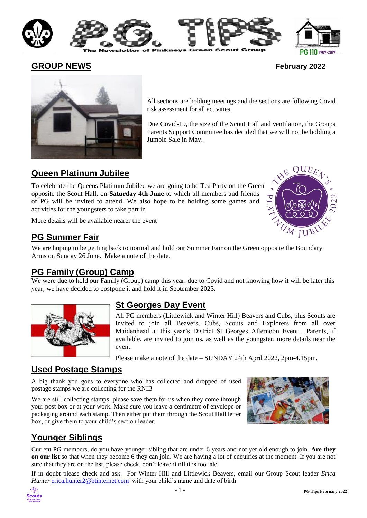

PG 110 1909-2019

**GROUP NEWS February 2022**

 $QUEE_A$ 

UM JUBINS



All sections are holding meetings and the sections are following Covid risk assessment for all activities.

Due Covid-19, the size of the Scout Hall and ventilation, the Groups Parents Support Committee has decided that we will not be holding a Jumble Sale in May.

# **Queen Platinum Jubilee**

To celebrate the Queens Platinum Jubilee we are going to be Tea Party on the Green opposite the Scout Hall, on **Saturday 4th June** to which all members and friends of PG will be invited to attend. We also hope to be holding some games and activities for the youngsters to take part in

More details will be available nearer the event

# **PG Summer Fair**

We are hoping to be getting back to normal and hold our Summer Fair on the Green opposite the Boundary Arms on Sunday 26 June. Make a note of the date.

# **PG Family (Group) Camp**

We were due to hold our Family (Group) camp this year, due to Covid and not knowing how it will be later this year, we have decided to postpone it and hold it in September 2023.



# **St Georges Day Event**

All PG members (Littlewick and Winter Hill) Beavers and Cubs, plus Scouts are invited to join all Beavers, Cubs, Scouts and Explorers from all over Maidenhead at this year's District St Georges Afternoon Event. Parents, if available, are invited to join us, as well as the youngster, more details near the event.

Please make a note of the date – SUNDAY 24th April 2022, 2pm-4.15pm.

# **Used Postage Stamps**

A big thank you goes to everyone who has collected and dropped of used postage stamps we are collecting for the RNIB

We are still collecting stamps, please save them for us when they come through your post box or at your work. Make sure you leave a centimetre of envelope or packaging around each stamp. Then either put them through the Scout Hall letter box, or give them to your child's section leader.



# **Younger Siblings**

Current PG members, do you have younger sibling that are under 6 years and not yet old enough to join. **Are they on our list** so that when they become 6 they can join. We are having a lot of enquiries at the moment. If you are not sure that they are on the list, please check, don't leave it till it is too late.

If in doubt please check and ask. For Winter Hill and Littlewick Beavers, email our Group Scout leader *Erica Hunter* [erica.hunter2@btinternet.com](mailto:erica.hunter@btinternet.com) with your child's name and date of birth.

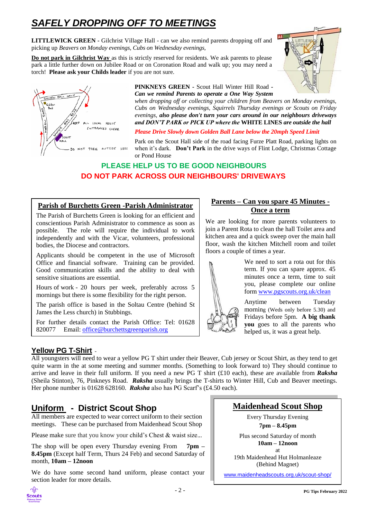# *SAFELY DROPPING OFF TO MEETINGS*

**LITTLEWICK GREEN -** Gilchrist Village Hall - can we also remind parents dropping off and picking up *Beavers on Monday evenings, Cubs on Wednesday evenings,*

**Do not park in Gilchrist Way** as this is strictly reserved for residents. We ask parents to please park a little further down on Jubilee Road or on Coronation Road and walk up; you may need a torch! **Please ask your Childs leader** if you are not sure.





#### **PINKNEYS GREEN -** Scout Hall Winter Hill Road *- Can we remind Parents to operate a One Way System*

*when dropping off or collecting your children from Beavers on Monday evenings, Cubs on Wednesday evenings, Squirrels Thursday evenings or Scouts on Friday evenings, also please don't turn your cars around in our neighbours driveways and DON'T PARK or PICK UP where the* **WHITE LINES** *are outside the hall* 

#### *Please Drive Slowly down Golden Ball Lane below the 20mph Speed Limit*

Park on the Scout Hall side of the road facing Furze Platt Road, parking lights on when it's dark. **Don't Park** in the drive ways of Flint Lodge, Christmas Cottage or Pond House

### **PLEASE HELP US TO BE GOOD NEIGHBOURS DO NOT PARK ACROSS OUR NEIGHBOURS' DRIVEWAYS**

#### **Parish of Burchetts Green -Parish Administrator**

The Parish of Burchetts Green is looking for an efficient and conscientious Parish Administrator to commence as soon as possible. The role will require the individual to work independently and with the Vicar, volunteers, professional bodies, the Diocese and contractors.

Applicants should be competent in the use of Microsoft Office and financial software. Training can be provided. Good communication skills and the ability to deal with sensitive situations are essential.

Hours of work - 20 hours per week, preferably across 5 mornings but there is some flexibility for the right person.

The parish office is based in the Soltau Centre (behind St James the Less church) in Stubbings.

For further details contact the Parish Office: Tel: 01628 820077 Email: [office@burchettsgreenparish.org](mailto:office@burchettsgreenparish.org)

#### **Yellow PG T-Shirt** -

**Parents – Can you spare 45 Minutes - Once a term**

We are looking for more parents volunteers to join a Parent Rota to clean the hall Toilet area and kitchen area and a quick sweep over the main hall floor, wash the kitchen Mitchell room and toilet floors a couple of times a year.



We need to sort a rota out for this term. If you can spare approx. 45 minutes once a term, time to suit you, please complete our online form [www.pgscouts.org.uk/clean](http://www.pgscouts.org.uk/clean)

Anytime between Tuesday morning (Weds only before 5.30) and Fridays before 5pm. **A big thank you** goes to all the parents who helped us, it was a great help.

All youngsters will need to wear a yellow PG T shirt under their Beaver, Cub jersey or Scout Shirt, as they tend to get quite warm in the at some meeting and summer months. (Something to look forward to) They should continue to arrive and leave in their full uniform. If you need a new PG T shirt (£10 each), these are available from *Raksha* (Sheila Stinton), 76, Pinkneys Road. *Raksha* usually brings the T-shirts to Winter Hill, Cub and Beaver meetings. Her phone number is 01628 628160. **Raksha** also has PG Scarf's (£4.50 each).

# **Uniform - District Scout Shop**

All members are expected to wear correct uniform to their section meetings. These can be purchased from Maidenhead Scout Shop

Please make sure that you know your child's Chest & waist size.*..*

The shop will be open every Thursday evening From **7pm – 8.45pm** (Except half Term, Thurs 24 Feb) and second Saturday of month, **10am – 12noon**

We do have some second hand uniform, please contact your section leader for more details.

# **Maidenhead Scout Shop**

Every Thursday Evening **7pm – 8.45pm** 

Plus second Saturday of month **10am – 12noon**

at 19th Maidenhead Hut Holmanleaze (Behind Magnet)

[www.maidenheadscouts.org.uk/scout-shop/](http://www.maidenheadscouts.org.uk/scout-shop/)

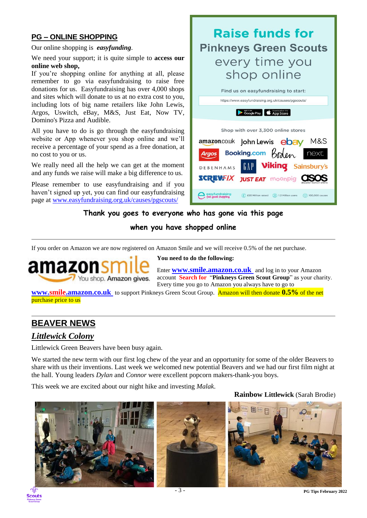### **PG – ONLINE SHOPPING**

Our online shopping is *easyfunding*.

We need your support; it is quite simple to **access our online web shop,** 

If you're shopping online for anything at all, please remember to go via easyfundraising to raise free donations for us. Easyfundraising has over 4,000 shops and sites which will donate to us at no extra cost to you, including lots of big name retailers like John Lewis, Argos, Uswitch, eBay, M&S, Just Eat, Now TV, Domino's Pizza and Audible.

All you have to do is go through the easyfundraising website or App whenever you shop online and we'll receive a percentage of your spend as a free donation, at no cost to you or us.

We really need all the help we can get at the moment and any funds we raise will make a big difference to us.

Please remember to use easyfundraising and if you haven't signed up yet, you can find our easyfundraising page at [www.easyfundraising.org.uk/causes/pgscouts/](https://www.easyfundraising.org.uk/causes/pgscouts/)

#### **Thank you goes to everyone who has gone via this page**

#### **when you have shopped online**

If you order on Amazon we are now registered on Amazon Smile and we will receive 0.5% of the net purchase.



**You need to do the following:** 

DEBENHAMS

easyfundraising<br>eel good shopping

Enter **[www.smile.amazon.co.uk](http://www.smile.amazon.co.uk/)** and log in to your Amazon account **Search for** "**Pinkneys Green Scout Group**" as your charity. Every time you go to Amazon you always have to go to

**Raise funds for** 

**Pinkneys Green Scouts** 

every time you

shop online

Find us on easyfundraising to start: https://www.easyfundraising.org.uk/causes/pgscouts/

Google Play App Store

Shop with over 3,300 online stores amazon.co.uk John Lewis **ebay** M&S Booking.com  $K_n$ 

**SCREWFIX JUST EAT MOONDIG CISOS** 

next

**Viking** Sainsbury's

 $\circledR$  £20 Million raised  $\circledR$  1.2 Million users  $\circledR$  100,000 causes

**[www.smile.amazon.co.uk](http://www.smile.amazon.co.uk/)** to support Pinkneys Green Scout Group. Amazon will then donate **0.5%** of the net purchase price to us

# **BEAVER NEWS**

### *Littlewick Colony*

Littlewick Green Beavers have been busy again.

We started the new term with our first log chew of the year and an opportunity for some of the older Beavers to share with us their inventions. Last week we welcomed new potential Beavers and we had our first film night at the hall. Young leaders *Dylan* and *Connor* were excellent popcorn makers-thank-you boys.

This week we are excited about our night hike and investing *Malak*.





**Rainbow Littlewick** (Sarah Brodie)





- 3 - **PG Tips February <sup>2022</sup>**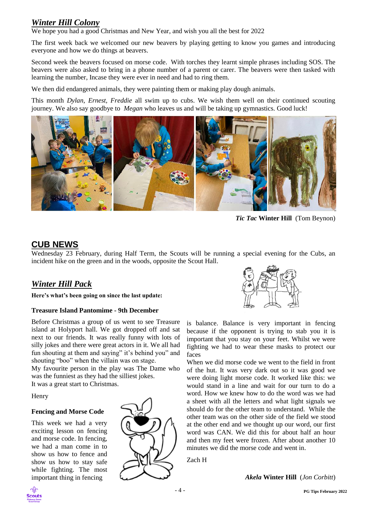### *Winter Hill Colony*

We hope you had a good Christmas and New Year, and wish you all the best for 2022

The first week back we welcomed our new beavers by playing getting to know you games and introducing everyone and how we do things at beavers.

Second week the beavers focused on morse code. With torches they learnt simple phrases including SOS. The beavers were also asked to bring in a phone number of a parent or carer. The beavers were then tasked with learning the number, Incase they were ever in need and had to ring them.

We then did endangered animals, they were painting them or making play dough animals.

This month *Dylan, Ernest, Freddie* all swim up to cubs. We wish them well on their continued scouting journey. We also say goodbye to *Megan* who leaves us and will be taking up gymnastics. Good luck!



*Tic Tac* **Winter Hill** (Tom Beynon)

## **CUB NEWS**

Wednesday 23 February, during Half Term, the Scouts will be running a special evening for the Cubs, an incident hike on the green and in the woods, opposite the Scout Hall.

### *Winter Hill Pack*

**Here's what's been going on since the last update:**

#### **Treasure Island Pantomime - 9th December**

Before Christmas a group of us went to see Treasure island at Holyport hall. We got dropped off and sat next to our friends. It was really funny with lots of silly jokes and there were great actors in it. We all had fun shouting at them and saying" it's behind you" and shouting "boo" when the villain was on stage.

My favourite person in the play was The Dame who was the funniest as they had the silliest jokes.

It was a great start to Christmas.

Henry

#### **Fencing and Morse Code**

This week we had a very exciting lesson on fencing and morse code. In fencing, we had a man come in to show us how to fence and show us how to stay safe while fighting. The most important thing in fencing





is balance. Balance is very important in fencing because if the opponent is trying to stab you it is important that you stay on your feet. Whilst we were fighting we had to wear these masks to protect our faces

When we did morse code we went to the field in front of the hut. It was very dark out so it was good we were doing light morse code. It worked like this: we would stand in a line and wait for our turn to do a word. How we knew how to do the word was we had a sheet with all the letters and what light signals we should do for the other team to understand. While the other team was on the other side of the field we stood at the other end and we thought up our word, our first word was CAN. We did this for about half an hour and then my feet were frozen. After about another 10 minutes we did the morse code and went in.

Zach H

*Akela* **Winter Hill** (*Jon Corbitt*)